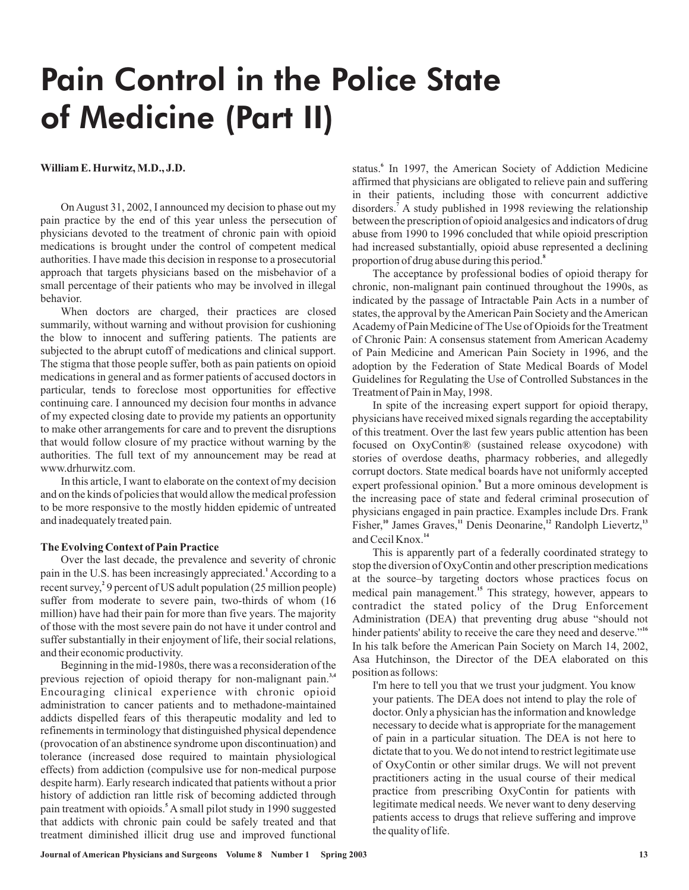# Pain Control in the Police State of Medicine (Part II)

## **William E. Hurwitz,M.D., J.D.**

On August 31, 2002, I announced my decision to phase out my pain practice by the end of this year unless the persecution of physicians devoted to the treatment of chronic pain with opioid medications is brought under the control of competent medical authorities. I have made this decision in response to a prosecutorial approach that targets physicians based on the misbehavior of a small percentage of their patients who may be involved in illegal behavior.

When doctors are charged, their practices are closed summarily, without warning and without provision for cushioning the blow to innocent and suffering patients. The patients are subjected to the abrupt cutoff of medications and clinical support. The stigma that those people suffer, both as pain patients on opioid medications in general and as former patients of accused doctors in particular, tends to foreclose most opportunities for effective continuing care. I announced my decision four months in advance of my expected closing date to provide my patients an opportunity to make other arrangements for care and to prevent the disruptions that would follow closure of my practice without warning by the authorities. The full text of my announcement may be read at www.drhurwitz.com.

In this article, I want to elaborate on the context of my decision and on the kinds of policies that would allow the medical profession to be more responsive to the mostly hidden epidemic of untreated and inadequately treated pain.

#### **The Evolving Context of Pain Practice**

Over the last decade, the prevalence and severity of chronic pain in the U.S. has been increasingly appreciated.<sup>1</sup> According to a recent survey,<sup>2</sup> 9 percent of US adult population (25 million people) suffer from moderate to severe pain, two-thirds of whom (16 million) have had their pain for more than five years. The majority of those with the most severe pain do not have it under control and suffer substantially in their enjoyment of life, their social relations, and their economic productivity.

Beginning in the mid-1980s, there was a reconsideration of the previous rejection of opioid therapy for non-malignant pain.<sup>3,4</sup> Encouraging clinical experience with chronic opioid administration to cancer patients and to methadone-maintained addicts dispelled fears of this therapeutic modality and led to refinements in terminology that distinguished physical dependence (provocation of an abstinence syndrome upon discontinuation) and tolerance (increased dose required to maintain physiological effects) from addiction (compulsive use for non-medical purpose despite harm). Early research indicated that patients without a prior history of addiction ran little risk of becoming addicted through pain treatment with opioids.<sup>5</sup> A small pilot study in 1990 suggested that addicts with chronic pain could be safely treated and that treatment diminished illicit drug use and improved functional

status.<sup>6</sup> In 1997, the American Society of Addiction Medicine affirmed that physicians are obligated to relieve pain and suffering in their patients, including those with concurrent addictive disorders.<sup>7</sup> A study published in 1998 reviewing the relationship between the prescription of opioid analgesics and indicators of drug abuse from 1990 to 1996 concluded that while opioid prescription had increased substantially, opioid abuse represented a declining proportion of drug abuse during this period. **8**

The acceptance by professional bodies of opioid therapy for chronic, non-malignant pain continued throughout the 1990s, as indicated by the passage of Intractable Pain Acts in a number of states, the approval by theAmerican Pain Society and theAmerican Academy of Pain Medicine of The Use of Opioids for the Treatment of Chronic Pain: A consensus statement from American Academy of Pain Medicine and American Pain Society in 1996, and the adoption by the Federation of State Medical Boards of Model Guidelines for Regulating the Use of Controlled Substances in the Treatment of Pain in May, 1998.

In spite of the increasing expert support for opioid therapy, physicians have received mixed signals regarding the acceptability of this treatment. Over the last few years public attention has been focused on OxyContin® (sustained release oxycodone) with stories of overdose deaths, pharmacy robberies, and allegedly corrupt doctors. State medical boards have not uniformly accepted expert professional opinion.<sup>9</sup> But a more ominous development is the increasing pace of state and federal criminal prosecution of physicians engaged in pain practice. Examples include Drs. Frank Fisher,<sup>10</sup> James Graves,<sup>11</sup> Denis Deonarine,<sup>12</sup> Randolph Lievertz,<sup>13</sup> and Cecil Knox. **14**

This is apparently part of a federally coordinated strategy to stop the diversion of OxyContin and other prescription medications at the source–by targeting doctors whose practices focus on medical pain management.<sup>15</sup> This strategy, however, appears to contradict the stated policy of the Drug Enforcement Administration (DEA) that preventing drug abuse "should not hinder patients' ability to receive the care they need and deserve." **16** In his talk before the American Pain Society on March 14, 2002, Asa Hutchinson, the Director of the DEA elaborated on this position as follows:

I'm here to tell you that we trust your judgment. You know your patients. The DEA does not intend to play the role of doctor. Only a physician has the information and knowledge necessary to decide what is appropriate for the management of pain in a particular situation. The DEA is not here to dictate that to you.We do not intend to restrict legitimate use of OxyContin or other similar drugs. We will not prevent practitioners acting in the usual course of their medical practice from prescribing OxyContin for patients with legitimate medical needs. We never want to deny deserving patients access to drugs that relieve suffering and improve the quality of life.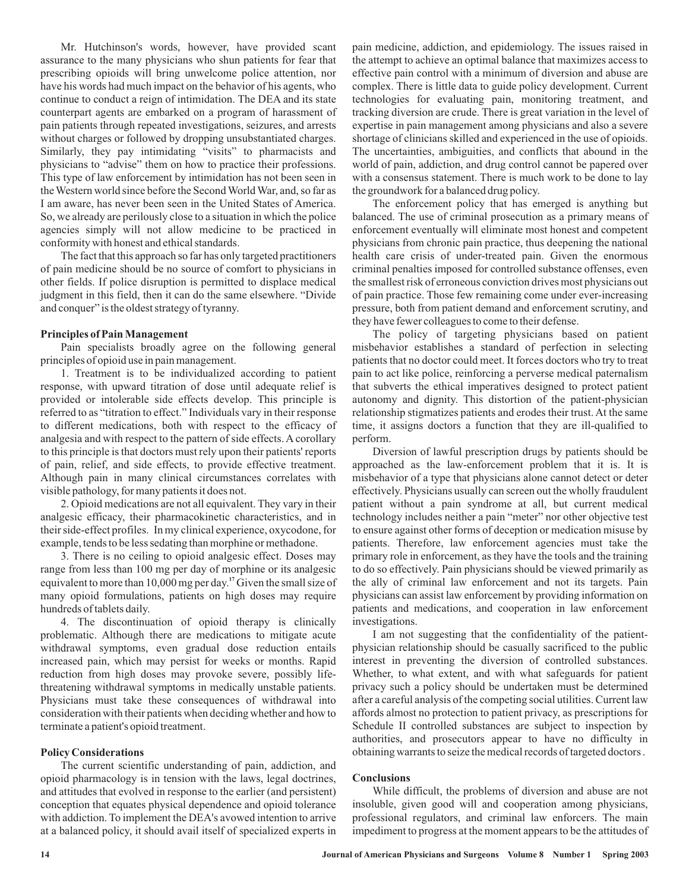Mr. Hutchinson's words, however, have provided scant assurance to the many physicians who shun patients for fear that prescribing opioids will bring unwelcome police attention, nor have his words had much impact on the behavior of his agents, who continue to conduct a reign of intimidation. The DEA and its state counterpart agents are embarked on a program of harassment of pain patients through repeated investigations, seizures, and arrests without charges or followed by dropping unsubstantiated charges. Similarly, they pay intimidating "visits" to pharmacists and physicians to "advise" them on how to practice their professions. This type of law enforcement by intimidation has not been seen in theWestern world since before the SecondWorldWar, and, so far as I am aware, has never been seen in the United States of America. So, we already are perilously close to a situation in which the police agencies simply will not allow medicine to be practiced in conformity with honest and ethical standards.

The fact that this approach so far has only targeted practitioners of pain medicine should be no source of comfort to physicians in other fields. If police disruption is permitted to displace medical judgment in this field, then it can do the same elsewhere. "Divide and conquer" is the oldest strategy of tyranny.

## **Principles of PainManagement**

Pain specialists broadly agree on the following general principles of opioid use in pain management.

1. Treatment is to be individualized according to patient response, with upward titration of dose until adequate relief is provided or intolerable side effects develop. This principle is referred to as "titration to effect." Individuals vary in their response to different medications, both with respect to the efficacy of analgesia and with respect to the pattern of side effects. A corollary to this principle is that doctors must rely upon their patients' reports of pain, relief, and side effects, to provide effective treatment. Although pain in many clinical circumstances correlates with visible pathology, for many patients it does not.

2. Opioid medications are not all equivalent. They vary in their analgesic efficacy, their pharmacokinetic characteristics, and in their side-effect profiles. In my clinical experience, oxycodone, for example, tends to be less sedating than morphine or methadone.

3. There is no ceiling to opioid analgesic effect. Doses may range from less than 100 mg per day of morphine or its analgesic equivalent to more than 10,000 mg per day.<sup>17</sup> Given the small size of many opioid formulations, patients on high doses may require hundreds of tablets daily.

4. The discontinuation of opioid therapy is clinically problematic. Although there are medications to mitigate acute withdrawal symptoms, even gradual dose reduction entails increased pain, which may persist for weeks or months. Rapid reduction from high doses may provoke severe, possibly lifethreatening withdrawal symptoms in medically unstable patients. Physicians must take these consequences of withdrawal into consideration with their patients when deciding whether and how to terminate a patient's opioid treatment.

### **Policy Considerations**

The current scientific understanding of pain, addiction, and opioid pharmacology is in tension with the laws, legal doctrines, and attitudes that evolved in response to the earlier (and persistent) conception that equates physical dependence and opioid tolerance with addiction. To implement the DEA's avowed intention to arrive at a balanced policy, it should avail itself of specialized experts in pain medicine, addiction, and epidemiology. The issues raised in the attempt to achieve an optimal balance that maximizes access to effective pain control with a minimum of diversion and abuse are complex. There is little data to guide policy development. Current technologies for evaluating pain, monitoring treatment, and tracking diversion are crude. There is great variation in the level of expertise in pain management among physicians and also a severe shortage of clinicians skilled and experienced in the use of opioids. The uncertainties, ambiguities, and conflicts that abound in the world of pain, addiction, and drug control cannot be papered over with a consensus statement. There is much work to be done to lay the groundwork for a balanced drug policy.

The enforcement policy that has emerged is anything but balanced. The use of criminal prosecution as a primary means of enforcement eventually will eliminate most honest and competent physicians from chronic pain practice, thus deepening the national health care crisis of under-treated pain. Given the enormous criminal penalties imposed for controlled substance offenses, even the smallest risk of erroneous conviction drives most physicians out of pain practice. Those few remaining come under ever-increasing pressure, both from patient demand and enforcement scrutiny, and they have fewer colleagues to come to their defense.

The policy of targeting physicians based on patient misbehavior establishes a standard of perfection in selecting patients that no doctor could meet. It forces doctors who try to treat pain to act like police, reinforcing a perverse medical paternalism that subverts the ethical imperatives designed to protect patient autonomy and dignity. This distortion of the patient-physician relationship stigmatizes patients and erodes their trust. At the same time, it assigns doctors a function that they are ill-qualified to perform.

Diversion of lawful prescription drugs by patients should be approached as the law-enforcement problem that it is. It is misbehavior of a type that physicians alone cannot detect or deter effectively. Physicians usually can screen out the wholly fraudulent patient without a pain syndrome at all, but current medical technology includes neither a pain "meter" nor other objective test to ensure against other forms of deception or medication misuse by patients. Therefore, law enforcement agencies must take the primary role in enforcement, as they have the tools and the training to do so effectively. Pain physicians should be viewed primarily as the ally of criminal law enforcement and not its targets. Pain physicians can assist law enforcement by providing information on patients and medications, and cooperation in law enforcement investigations.

I am not suggesting that the confidentiality of the patientphysician relationship should be casually sacrificed to the public interest in preventing the diversion of controlled substances. Whether, to what extent, and with what safeguards for patient privacy such a policy should be undertaken must be determined after a careful analysis of the competing social utilities. Current law affords almost no protection to patient privacy, as prescriptions for Schedule II controlled substances are subject to inspection by authorities, and prosecutors appear to have no difficulty in obtaining warrants to seize the medical records of targeted doctors .

#### **Conclusions**

While difficult, the problems of diversion and abuse are not insoluble, given good will and cooperation among physicians, professional regulators, and criminal law enforcers. The main impediment to progress at the moment appears to be the attitudes of